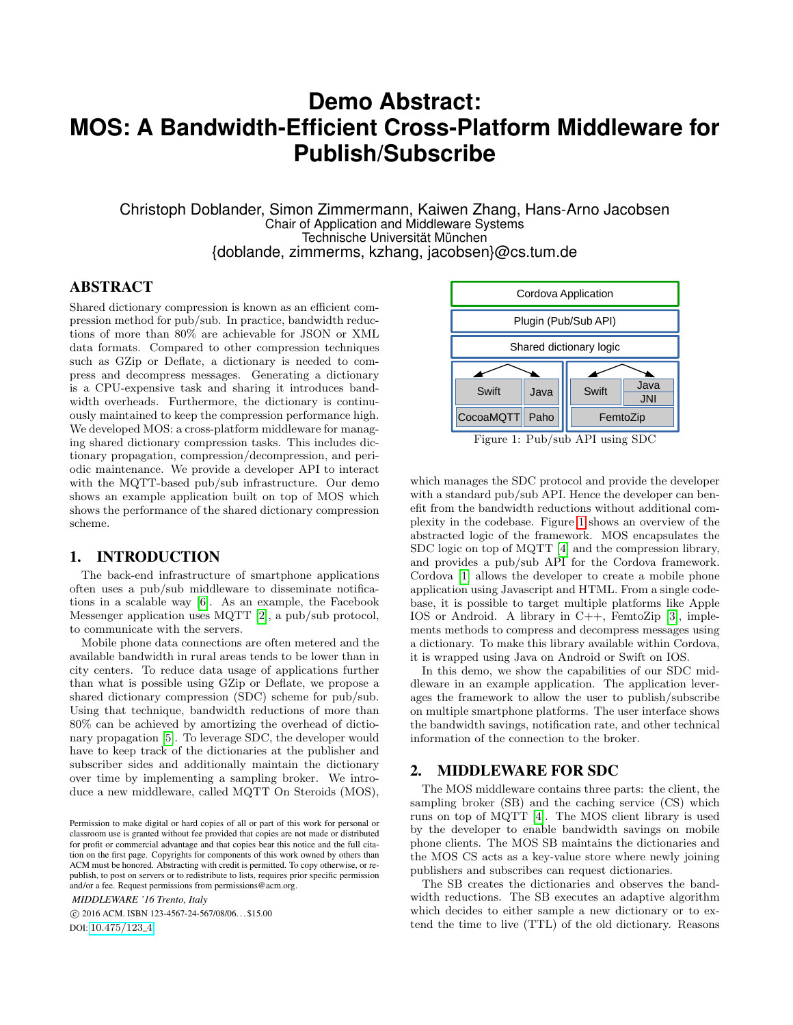# **Demo Abstract: MOS: A Bandwidth-Efficient Cross-Platform Middleware for Publish/Subscribe**

Christoph Doblander, Simon Zimmermann, Kaiwen Zhang, Hans-Arno Jacobsen Chair of Application and Middleware Systems Technische Universität München {doblande, zimmerms, kzhang, jacobsen}@cs.tum.de

### ABSTRACT

Shared dictionary compression is known as an efficient compression method for pub/sub. In practice, bandwidth reductions of more than 80% are achievable for JSON or XML data formats. Compared to other compression techniques such as GZip or Deflate, a dictionary is needed to compress and decompress messages. Generating a dictionary is a CPU-expensive task and sharing it introduces bandwidth overheads. Furthermore, the dictionary is continuously maintained to keep the compression performance high. We developed MOS: a cross-platform middleware for managing shared dictionary compression tasks. This includes dictionary propagation, compression/decompression, and periodic maintenance. We provide a developer API to interact with the MQTT-based pub/sub infrastructure. Our demo shows an example application built on top of MOS which shows the performance of the shared dictionary compression scheme.

#### 1. INTRODUCTION

The back-end infrastructure of smartphone applications often uses a pub/sub middleware to disseminate notifications in a scalable way [\[6\]](#page-1-0). As an example, the Facebook Messenger application uses MQTT [\[2\]](#page-1-1), a pub/sub protocol, to communicate with the servers.

Mobile phone data connections are often metered and the available bandwidth in rural areas tends to be lower than in city centers. To reduce data usage of applications further than what is possible using GZip or Deflate, we propose a shared dictionary compression (SDC) scheme for pub/sub. Using that technique, bandwidth reductions of more than 80% can be achieved by amortizing the overhead of dictionary propagation [\[5\]](#page-1-2). To leverage SDC, the developer would have to keep track of the dictionaries at the publisher and subscriber sides and additionally maintain the dictionary over time by implementing a sampling broker. We introduce a new middleware, called MQTT On Steroids (MOS),

*MIDDLEWARE '16 Trento, Italy*

 c 2016 ACM. ISBN 123-4567-24-567/08/06. . . \$15.00 DOI: [10.475/123](10.475/123_4)<sub>-4</sub>

<span id="page-0-0"></span>

Figure 1: Pub/sub API using SDC

which manages the SDC protocol and provide the developer with a standard pub/sub API. Hence the developer can benefit from the bandwidth reductions without additional complexity in the codebase. Figure [1](#page-0-0) shows an overview of the abstracted logic of the framework. MOS encapsulates the SDC logic on top of MQTT [\[4\]](#page-1-3) and the compression library, and provides a pub/sub API for the Cordova framework. Cordova [\[1\]](#page-1-4) allows the developer to create a mobile phone application using Javascript and HTML. From a single codebase, it is possible to target multiple platforms like Apple IOS or Android. A library in C++, FemtoZip [\[3\]](#page-1-5), implements methods to compress and decompress messages using a dictionary. To make this library available within Cordova, it is wrapped using Java on Android or Swift on IOS.

In this demo, we show the capabilities of our SDC middleware in an example application. The application leverages the framework to allow the user to publish/subscribe on multiple smartphone platforms. The user interface shows the bandwidth savings, notification rate, and other technical information of the connection to the broker.

#### 2. MIDDLEWARE FOR SDC

The MOS middleware contains three parts: the client, the sampling broker (SB) and the caching service (CS) which runs on top of MQTT [\[4\]](#page-1-3). The MOS client library is used by the developer to enable bandwidth savings on mobile phone clients. The MOS SB maintains the dictionaries and the MOS CS acts as a key-value store where newly joining publishers and subscribes can request dictionaries.

The SB creates the dictionaries and observes the bandwidth reductions. The SB executes an adaptive algorithm which decides to either sample a new dictionary or to extend the time to live (TTL) of the old dictionary. Reasons

Permission to make digital or hard copies of all or part of this work for personal or classroom use is granted without fee provided that copies are not made or distributed for profit or commercial advantage and that copies bear this notice and the full citation on the first page. Copyrights for components of this work owned by others than ACM must be honored. Abstracting with credit is permitted. To copy otherwise, or republish, to post on servers or to redistribute to lists, requires prior specific permission and/or a fee. Request permissions from permissions@acm.org.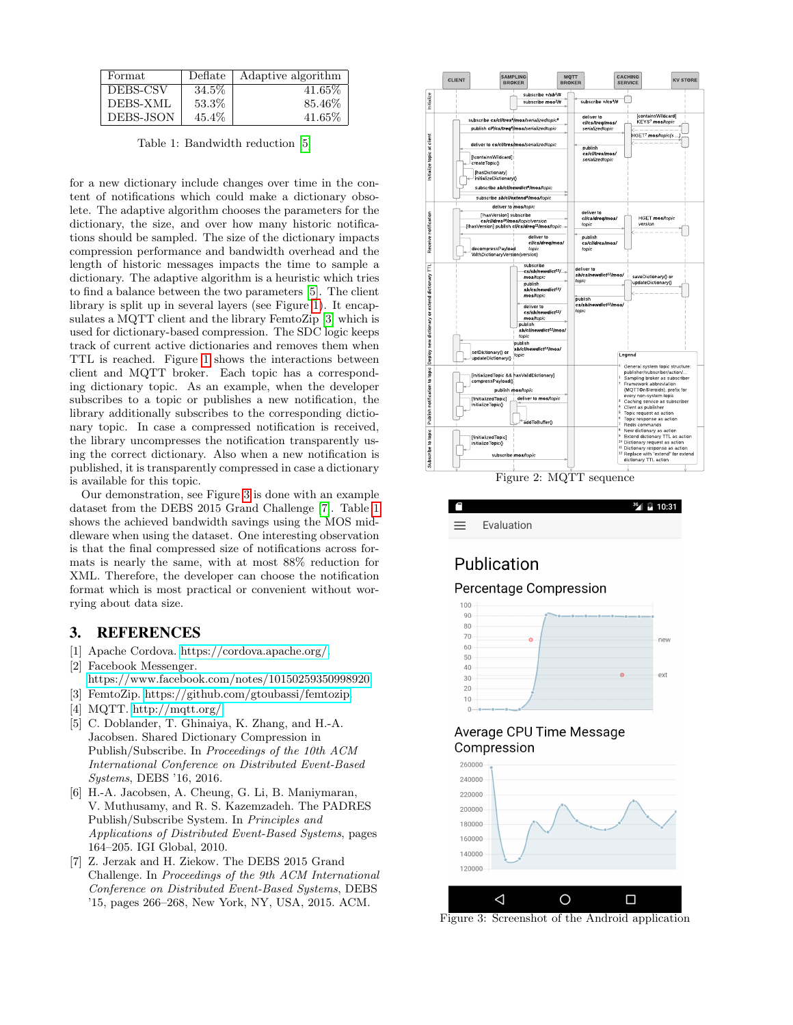<span id="page-1-8"></span>

| Format    | Deflate | Adaptive algorithm |
|-----------|---------|--------------------|
| DEBS-CSV  | 34.5%   | $41.65\%$          |
| DEBS-XML  | 53.3%   | 85.46\%            |
| DEBS-JSON | 45.4\%  | $41.65\%$          |

Table 1: Bandwidth reduction [\[5\]](#page-1-2)

for a new dictionary include changes over time in the content of notifications which could make a dictionary obsolete. The adaptive algorithm chooses the parameters for the dictionary, the size, and over how many historic notifications should be sampled. The size of the dictionary impacts compression performance and bandwidth overhead and the length of historic messages impacts the time to sample a dictionary. The adaptive algorithm is a heuristic which tries to find a balance between the two parameters [\[5\]](#page-1-2). The client library is split up in several layers (see Figure [1\)](#page-0-0). It encapsulates a MQTT client and the library FemtoZip [\[3\]](#page-1-5) which is used for dictionary-based compression. The SDC logic keeps track of current active dictionaries and removes them when TTL is reached. Figure [1](#page-0-0) shows the interactions between client and MQTT broker. Each topic has a corresponding dictionary topic. As an example, when the developer subscribes to a topic or publishes a new notification, the library additionally subscribes to the corresponding dictionary topic. In case a compressed notification is received, the library uncompresses the notification transparently using the correct dictionary. Also when a new notification is published, it is transparently compressed in case a dictionary is available for this topic.

Our demonstration, see Figure [3](#page-1-6) is done with an example dataset from the DEBS 2015 Grand Challenge [\[7\]](#page-1-7). Table [1](#page-1-8) shows the achieved bandwidth savings using the MOS middleware when using the dataset. One interesting observation is that the final compressed size of notifications across formats is nearly the same, with at most 88% reduction for XML. Therefore, the developer can choose the notification format which is most practical or convenient without worrying about data size.

#### 3. REFERENCES

- <span id="page-1-4"></span>[1] Apache Cordova. [https://cordova.apache.org/.](https://cordova.apache.org/)
- <span id="page-1-1"></span>[2] Facebook Messenger. [https://www.facebook.com/notes/10150259350998920.](https://www.facebook.com/notes/10150259350998920)
- <span id="page-1-5"></span>[3] FemtoZip. [https://github.com/gtoubassi/femtozip.](https://github.com/gtoubassi/femtozip)
- <span id="page-1-3"></span>[4] MQTT. [http://mqtt.org/.](http://mqtt.org/)
- <span id="page-1-2"></span>[5] C. Doblander, T. Ghinaiya, K. Zhang, and H.-A. Jacobsen. Shared Dictionary Compression in Publish/Subscribe. In Proceedings of the 10th ACM International Conference on Distributed Event-Based Systems, DEBS '16, 2016.
- <span id="page-1-0"></span>[6] H.-A. Jacobsen, A. Cheung, G. Li, B. Maniymaran, V. Muthusamy, and R. S. Kazemzadeh. The PADRES Publish/Subscribe System. In Principles and Applications of Distributed Event-Based Systems, pages 164–205. IGI Global, 2010.
- <span id="page-1-7"></span>[7] Z. Jerzak and H. Ziekow. The DEBS 2015 Grand Challenge. In Proceedings of the 9th ACM International Conference on Distributed Event-Based Systems, DEBS '15, pages 266–268, New York, NY, USA, 2015. ACM.



Figure 2: MQTT sequence

<span id="page-1-6"></span>

# Publication

Percentage Compression



## Average CPU Time Message Compression



Figure 3: Screenshot of the Android application